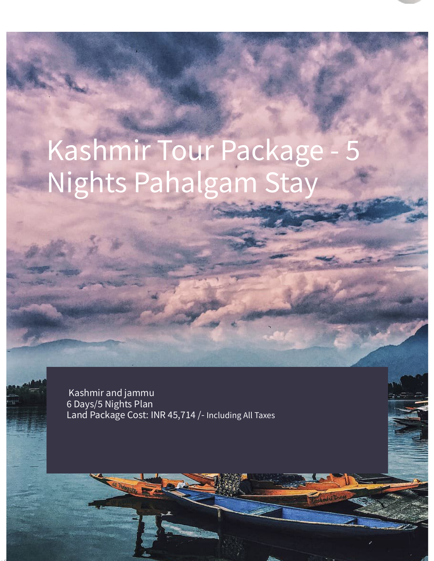# Kashmir Tour Package Nights Pahalgam Stay

 Kashmir and jammu 6 Days/5 Nights Plan Land Package Cost: INR 45,714 /- Including All Taxes

1

[+91-9911-61-5555](tel:+91-9911615555) [packages@lazyatra.com](mailto:packages@lazyatra.com)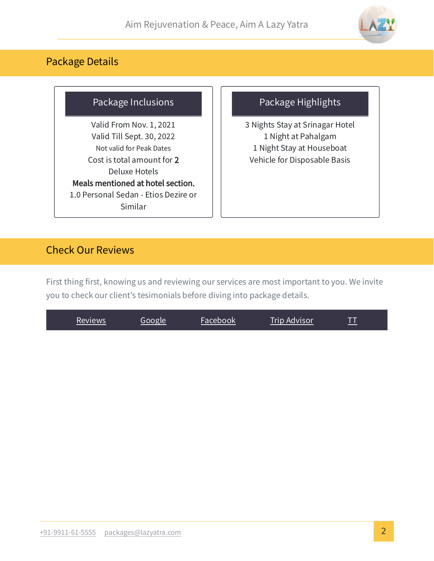

## Package Details

## Package Inclusions

Valid From Nov. 1, 2021 Valid Till Sept. 30, 2022 Not valid for Peak Dates Cost is total amount for 2 Deluxe Hotels Meals mentioned at hotel section. 1.0 Personal Sedan - Etios Dezire or Similar

## Package Highlights

3 Nights Stay at Srinagar Hotel 1 Night at Pahalgam 1 Night Stay at Houseboat Vehicle for Disposable Basis

## Check Our Reviews

First thing first, knowing us and reviewing our services are most important to you. We invite you to check our client's tesimonials before diving into package details.

| <b>Trip Advisor</b><br>Facebook'<br><b>Reviews</b><br>Google | __ |  |
|--------------------------------------------------------------|----|--|
|--------------------------------------------------------------|----|--|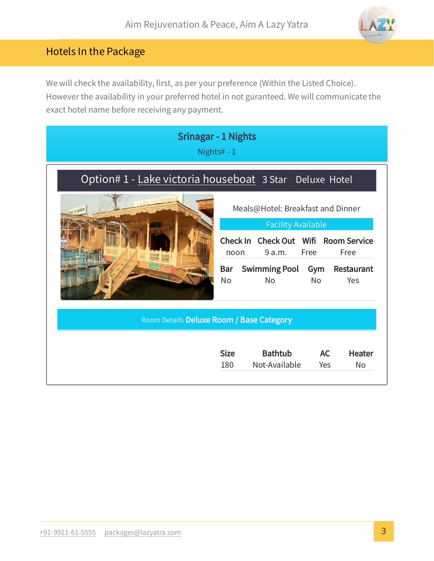

## Hotels In the Package

We will check the availability, first, as per your preference (Within the Listed Choice). However the availability in your preferred hotel in not guranteed. We will communicate the exact hotel name before receiving any payment.

| <b>Srinagar - 1 Nights</b><br>Nights# - 1               |                         |                                                |                  |                          |
|---------------------------------------------------------|-------------------------|------------------------------------------------|------------------|--------------------------|
| Option# 1 - Lake victoria houseboat 3 Star Deluxe Hotel |                         |                                                |                  |                          |
| Meals@Hotel: Breakfast and Dinner                       |                         |                                                |                  |                          |
|                                                         |                         | <b>Facility Available</b>                      |                  |                          |
|                                                         | noon                    | Check In Check Out Wifi Room Service<br>9 a.m. | Free             | Free                     |
|                                                         | <b>Bar</b><br><b>No</b> | <b>Swimming Pool</b><br><b>No</b>              | Gym<br><b>No</b> | <b>Restaurant</b><br>Yes |
| Room Details Deluxe Room / Base Category                |                         |                                                |                  |                          |
|                                                         |                         |                                                |                  |                          |
|                                                         | <b>Size</b>             | <b>Bathtub</b>                                 | <b>AC</b>        | <b>Heater</b>            |
|                                                         | 180                     | Not-Available                                  | Yes              | <b>No</b>                |
|                                                         |                         |                                                |                  |                          |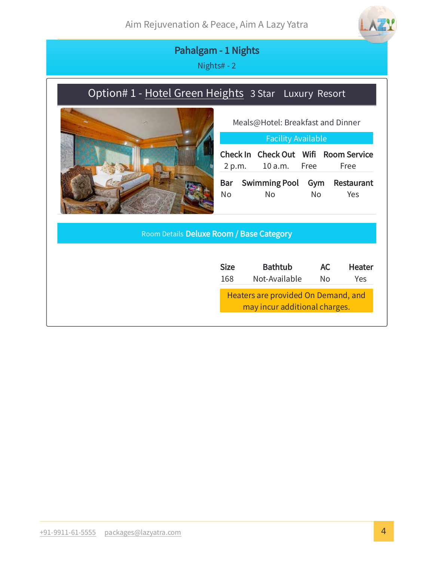

## Pahalgam - 1 Nights

Nights# - 2

## Option# 1 - [Hotel Green Heights](https://lazyatra.com/hotels/265-pahalgam-hotel-green-heights-luxury-3-resort/) 3 Star Luxury Resort



Meals@Hotel: Breakfast and Dinner

Facility Available

|    |                         |     | Check In Check Out Wifi Room Service |
|----|-------------------------|-----|--------------------------------------|
|    | $2 p.m.$ $10 a.m.$ Free |     | Free                                 |
|    |                         |     | Bar Swimming Pool Gym Restaurant     |
| No | No.                     | No. | Yes                                  |

#### Room Details Deluxe Room / Base Category

| <b>Size</b>                                                          | <b>Bathtub</b> | AC. | <b>Heater</b> |  |
|----------------------------------------------------------------------|----------------|-----|---------------|--|
| 168                                                                  | Not-Available  | N٥  | Yes           |  |
| Heaters are provided On Demand, and<br>may incur additional charges. |                |     |               |  |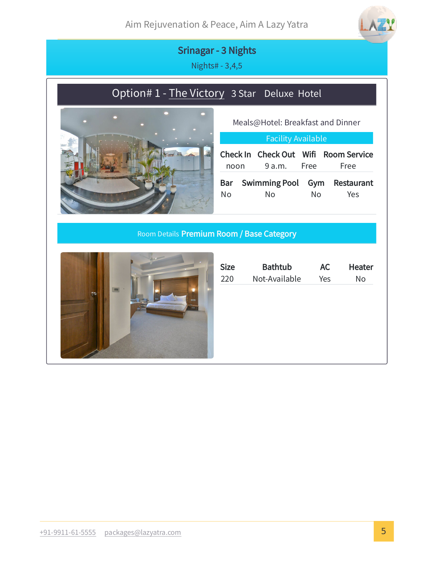

## Srinagar - 3 Nights

Nights# - 3,4,5

## Option# 1 - [The Victory](https://lazyatra.com/hotels/67-srinagar-hotel-the-victory-deluxe-3-hotel/) 3 Star Deluxe Hotel



Meals@Hotel: Breakfast and Dinner

#### Facility Available

|    |                  |     | Check In Check Out Wifi Room Service |
|----|------------------|-----|--------------------------------------|
|    | noon 9 a.m. Free |     | Free                                 |
|    |                  |     | Bar Swimming Pool Gym Restaurant     |
| N٥ | N٥               | No. | Yes                                  |

#### Room Details Premium Room / Base Category



| <b>Size</b> | <b>Bathtub</b> | AC  | <b>Heater</b> |
|-------------|----------------|-----|---------------|
| 220         | Not-Available  | Yes | No            |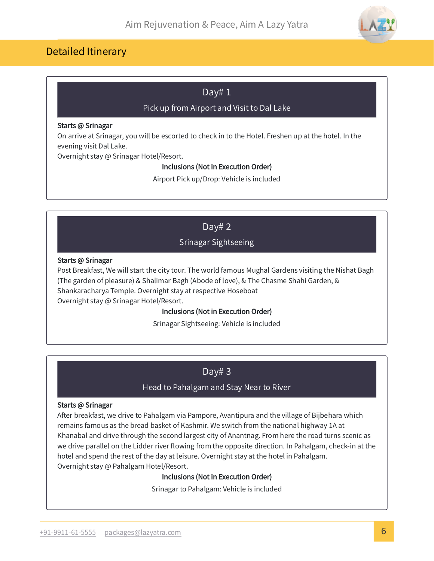## Detailed Itinerary

## Day# 1

#### Pick up from Airport and Visit to Dal Lake

#### Starts @ Srinagar

On arrive at Srinagar, you will be escorted to check in to the Hotel. Freshen up at the hotel. In the evening visit Dal Lake.

Overnight stay @ Srinagar Hotel/Resort.

Inclusions (Not in Execution Order)

Airport Pick up/Drop: Vehicle is included

#### Day# 2

#### Srinagar Sightseeing

#### Starts @ Srinagar

Post Breakfast, We will start the city tour. The world famous Mughal Gardens visiting the Nishat Bagh (The garden of pleasure) & Shalimar Bagh (Abode of love), & The Chasme Shahi Garden, & Shankaracharya Temple. Overnight stay at respective Hoseboat

Overnight stay @ Srinagar Hotel/Resort.

#### Inclusions (Not in Execution Order)

Srinagar Sightseeing: Vehicle is included

#### Day# 3

#### Head to Pahalgam and Stay Near to River

#### Starts @ Srinagar

After breakfast, we drive to Pahalgam via Pampore, Avantipura and the village of Bijbehara which remains famous as the bread basket of Kashmir. We switch from the national highway 1A at Khanabal and drive through the second largest city of Anantnag. From here the road turns scenic as we drive parallel on the Lidder river flowing from the opposite direction. In Pahalgam, check-in at the hotel and spend the rest of the day at leisure. Overnight stay at the hotel in Pahalgam. Overnight stay @ Pahalgam Hotel/Resort.

#### Inclusions (Not in Execution Order)

Srinagar to Pahalgam: Vehicle is included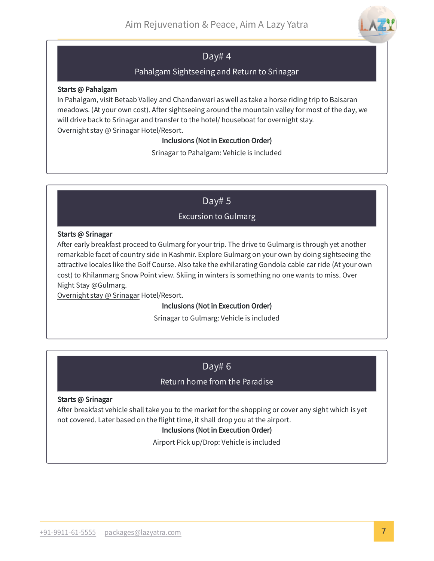

## Day# 4

#### Pahalgam Sightseeing and Return to Srinagar

Starts @ Pahalgam

In Pahalgam, visit Betaab Valley and Chandanwari as well as take a horse riding trip to Baisaran meadows. (At your own cost). After sightseeing around the mountain valley for most of the day, we will drive back to Srinagar and transfer to the hotel/ houseboat for overnight stay. Overnight stay @ Srinagar Hotel/Resort.

Inclusions (Not in Execution Order)

Srinagar to Pahalgam: Vehicle is included

Day# 5

## Excursion to Gulmarg

Starts @ Srinagar

After early breakfast proceed to Gulmarg for your trip. The drive to Gulmarg is through yet another remarkable facet of country side in Kashmir. Explore Gulmarg on your own by doing sightseeing the attractive locales like the Golf Course. Also take the exhilarating Gondola cable car ride (At your own cost) to Khilanmarg Snow Point view. Skiing in winters is something no one wants to miss. Over Night Stay @Gulmarg.

Overnight stay @ Srinagar Hotel/Resort.

Inclusions (Not in Execution Order)

Srinagar to Gulmarg: Vehicle is included

## Day# 6

## Return home from the Paradise

#### Starts @ Srinagar

After breakfast vehicle shall take you to the market for the shopping or cover any sight which is yet not covered. Later based on the flight time, it shall drop you at the airport.

#### Inclusions (Not in Execution Order)

Airport Pick up/Drop: Vehicle is included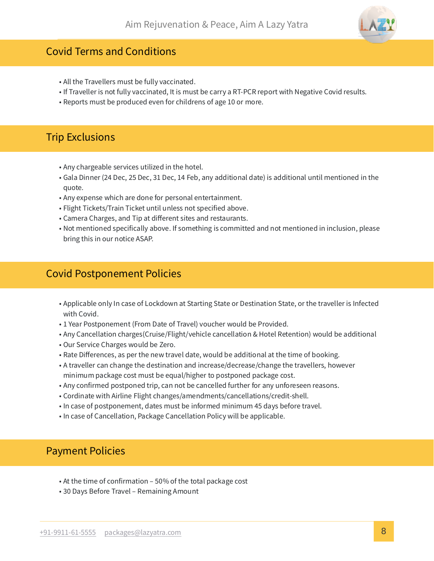

## Covid Terms and Conditions

- All the Travellers must be fully vaccinated. •
- $\bullet$  If Traveller is not fully vaccinated, It is must be carry a RT-PCR report with Negative Covid results.
- Reports must be produced even for childrens of age 10 or more. •

## Trip Exclusions

- Any chargeable services utilized in the hotel. •
- Gala Dinner (24 Dec, 25 Dec, 31 Dec, 14 Feb, any additional date) is additional until mentioned in the quote.
- Any expense which are done for personal entertainment. •
- Flight Tickets/Train Ticket until unless not specified above. •
- Camera Charges, and Tip at different sites and restaurants. •
- $\bullet$  Not mentioned specifically above. If something is committed and not mentioned in inclusion, please bring this in our notice ASAP.

## Covid Postponement Policies

- $\bullet$  Applicable only In case of Lockdown at Starting State or Destination State, or the traveller is Infected with Covid.
- 1 Year Postponement (From Date of Travel) voucher would be Provided. •
- Any Cancellation charges(Cruise/Flight/vehicle cancellation & Hotel Retention) would be additional
- Our Service Charges would be Zero. •
- $\bullet$  Rate Differences, as per the new travel date, would be additional at the time of booking.
- $\bullet$  A traveller can change the destination and increase/decrease/change the travellers, however minimum package cost must be equal/higher to postponed package cost.
- $\bullet$  Any confirmed postponed trip, can not be cancelled further for any unforeseen reasons.
- Cordinate with Airline Flight changes/amendments/cancellations/credit-shell. •
- $\bullet$  In case of postponement, dates must be informed minimum 45 days before travel.
- In case of Cancellation, Package Cancellation Policy will be applicable.

## Payment Policies

- At the time of confirmation 50% of the total package cost •
- 30 Days Before Travel Remaining Amount •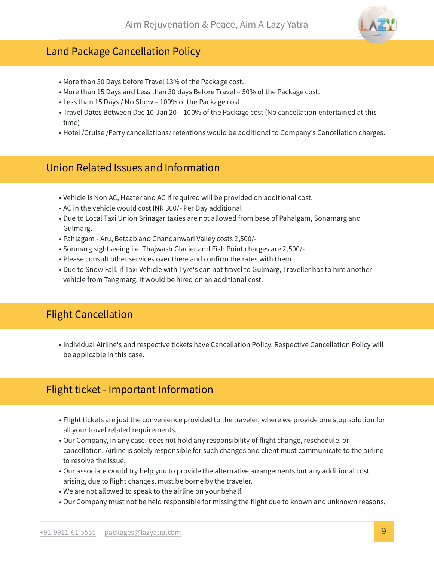## Land Package Cancellation Policy

- More than 30 Days before Travel 13% of the Package cost. •
- More than 15 Days and Less than 30 days Before Travel 50% of the Package cost.
- Less than 15 Days / No Show 100% of the Package cost •
- $\bullet$  Travel Dates Between Dec 10-Jan 20 100% of the Package cost (No cancellation entertained at this time)
- Hotel /Cruise /Ferry cancellations/ retentions would be additional to Company's Cancellation charges.

## Union Related Issues and Information

- Vehicle is Non AC, Heater and AC if required will be provided on additional cost.
- AC in the vehicle would cost INR 300/- Per Day additional •
- Due to Local Taxi Union Srinagar taxies are not allowed from base of Pahalgam, Sonamarg and Gulmarg.
- Pahlagam Aru, Betaab and Chandanwari Valley costs 2,500/- •
- Sonmarg sightseeing i.e. Thajwash Glacier and Fish Point charges are 2,500/-
- Please consult other services over there and confirm the rates with them •
- Due to Snow Fall, if Taxi Vehicle with Tyre's can not travel to Gulmarg, Traveller has to hire another vehicle from Tangmarg. It would be hired on an additional cost.

## Flight Cancellation

Individual Airline's and respective tickets have Cancellation Policy. Respective Cancellation Policy will • be applicable in this case.

## Flight ticket - Important Information

- $\bullet$  Flight tickets are just the convenience provided to the traveler, where we provide one stop solution for all your travel related requirements.
- $\bullet$  Our Company, in any case, does not hold any responsibility of flight change, reschedule, or cancellation. Airline is solely responsible for such changes and client must communicate to the airline to resolve the issue.
- $\bullet$  Our associate would try help you to provide the alternative arrangements but any additional cost arising, due to flight changes, must be borne by the traveler.
- We are not allowed to speak to the airline on your behalf. •
- Our Company must not be held responsible for missing the flight due to known and unknown reasons.